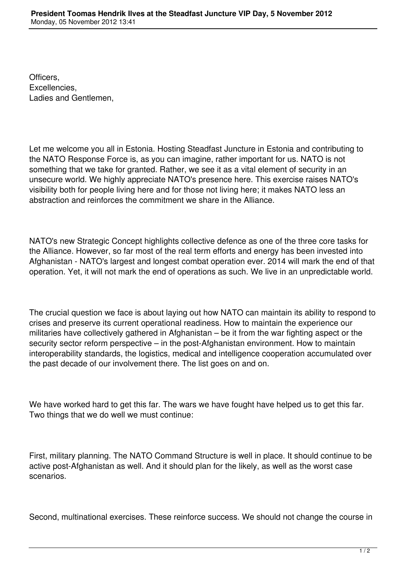Officers, Excellencies, Ladies and Gentlemen,

Let me welcome you all in Estonia. Hosting Steadfast Juncture in Estonia and contributing to the NATO Response Force is, as you can imagine, rather important for us. NATO is not something that we take for granted. Rather, we see it as a vital element of security in an unsecure world. We highly appreciate NATO's presence here. This exercise raises NATO's visibility both for people living here and for those not living here; it makes NATO less an abstraction and reinforces the commitment we share in the Alliance.

NATO's new Strategic Concept highlights collective defence as one of the three core tasks for the Alliance. However, so far most of the real term efforts and energy has been invested into Afghanistan - NATO's largest and longest combat operation ever. 2014 will mark the end of that operation. Yet, it will not mark the end of operations as such. We live in an unpredictable world.

The crucial question we face is about laying out how NATO can maintain its ability to respond to crises and preserve its current operational readiness. How to maintain the experience our militaries have collectively gathered in Afghanistan – be it from the war fighting aspect or the security sector reform perspective – in the post-Afghanistan environment. How to maintain interoperability standards, the logistics, medical and intelligence cooperation accumulated over the past decade of our involvement there. The list goes on and on.

We have worked hard to get this far. The wars we have fought have helped us to get this far. Two things that we do well we must continue:

First, military planning. The NATO Command Structure is well in place. It should continue to be active post-Afghanistan as well. And it should plan for the likely, as well as the worst case scenarios.

Second, multinational exercises. These reinforce success. We should not change the course in